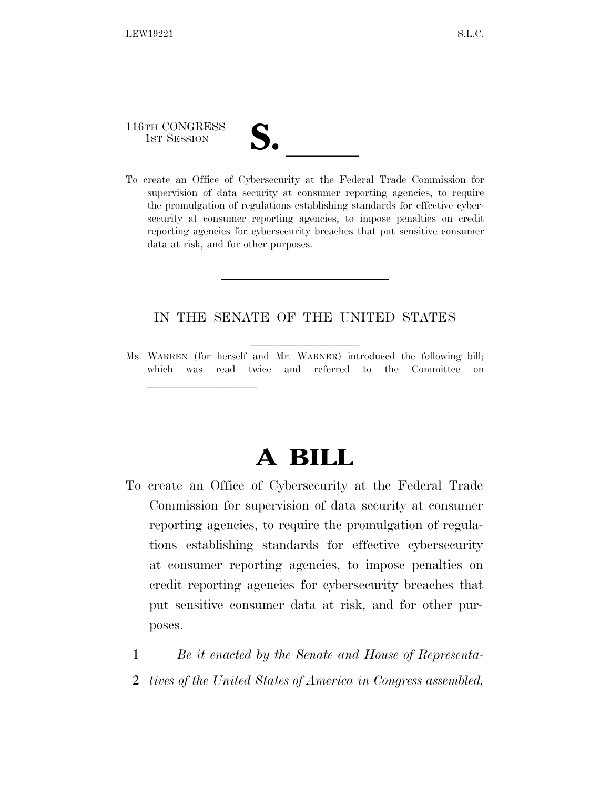116TH CONGRESS

<u>llille som starte som starte som starte som s</u>

116TH CONGRESS<br>
1ST SESSION<br>
To create an Office of Cybersecurity at the Federal Trade Commission for supervision of data security at consumer reporting agencies, to require the promulgation of regulations establishing standards for effective cybersecurity at consumer reporting agencies, to impose penalties on credit reporting agencies for cybersecurity breaches that put sensitive consumer data at risk, and for other purposes.

### IN THE SENATE OF THE UNITED STATES

Ms. WARREN (for herself and Mr. WARNER) introduced the following bill; which was read twice and referred to the Committee on

# **A BILL**

- To create an Office of Cybersecurity at the Federal Trade Commission for supervision of data security at consumer reporting agencies, to require the promulgation of regulations establishing standards for effective cybersecurity at consumer reporting agencies, to impose penalties on credit reporting agencies for cybersecurity breaches that put sensitive consumer data at risk, and for other purposes.
	- 1 *Be it enacted by the Senate and House of Representa-*
	- 2 *tives of the United States of America in Congress assembled,*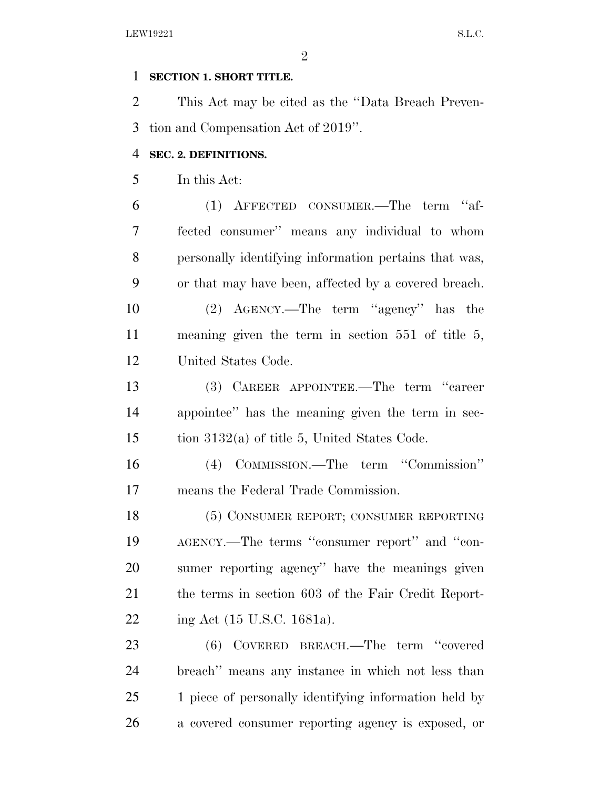#### **SECTION 1. SHORT TITLE.**

 This Act may be cited as the ''Data Breach Preven-tion and Compensation Act of 2019''.

#### **SEC. 2. DEFINITIONS.**

In this Act:

 (1) AFFECTED CONSUMER.—The term ''af- fected consumer'' means any individual to whom personally identifying information pertains that was, or that may have been, affected by a covered breach.

 (2) AGENCY.—The term ''agency'' has the meaning given the term in section 551 of title 5, United States Code.

 (3) CAREER APPOINTEE.—The term ''career appointee'' has the meaning given the term in sec-tion 3132(a) of title 5, United States Code.

 (4) COMMISSION.—The term ''Commission'' means the Federal Trade Commission.

 (5) CONSUMER REPORT; CONSUMER REPORTING AGENCY.—The terms ''consumer report'' and ''con- sumer reporting agency'' have the meanings given the terms in section 603 of the Fair Credit Report-ing Act (15 U.S.C. 1681a).

 (6) COVERED BREACH.—The term ''covered breach'' means any instance in which not less than 1 piece of personally identifying information held by a covered consumer reporting agency is exposed, or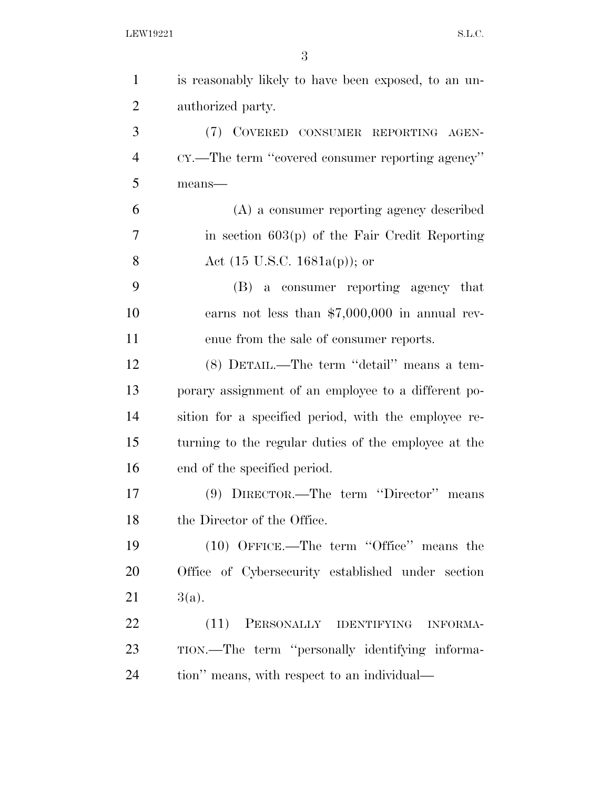| $\mathbf{1}$   | is reasonably likely to have been exposed, to an un- |
|----------------|------------------------------------------------------|
| $\overline{2}$ | authorized party.                                    |
| 3              | (7) COVERED CONSUMER REPORTING AGEN-                 |
| $\overline{4}$ | CY.—The term "covered consumer reporting agency"     |
| 5              | means-                                               |
| 6              | (A) a consumer reporting agency described            |
| 7              | in section $603(p)$ of the Fair Credit Reporting     |
| 8              | Act $(15 \text{ U.S.C. } 1681a(p))$ ; or             |
| 9              | (B) a consumer reporting agency that                 |
| 10             | earns not less than $$7,000,000$ in annual rev-      |
| 11             | enue from the sale of consumer reports.              |
| 12             | (8) DETAIL.—The term "detail" means a tem-           |
| 13             | porary assignment of an employee to a different po-  |
| 14             | sition for a specified period, with the employee re- |
| 15             | turning to the regular duties of the employee at the |
| 16             | end of the specified period.                         |
| 17             | (9) DIRECTOR.—The term "Director" means              |
| 18             | the Director of the Office.                          |
| 19             | $(10)$ OFFICE.—The term "Office" means the           |
| 20             | Office of Cybersecurity established under section    |
| 21             | 3(a).                                                |
| 22             | (11)<br>PERSONALLY IDENTIFYING<br><b>INFORMA-</b>    |
| 23             | TION.—The term "personally identifying informa-      |
| 24             | tion" means, with respect to an individual—          |
|                |                                                      |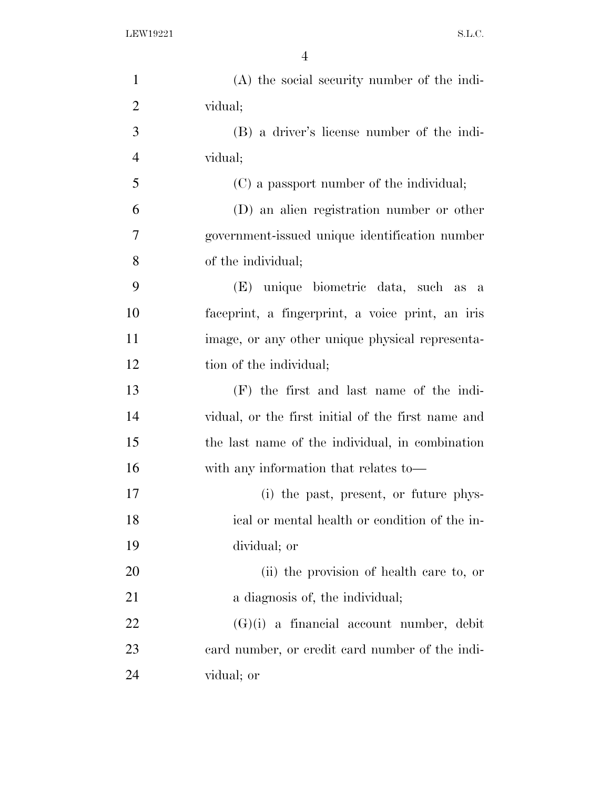| $\mathbf{1}$   | (A) the social security number of the indi-        |
|----------------|----------------------------------------------------|
| $\overline{2}$ | vidual;                                            |
| 3              | (B) a driver's license number of the indi-         |
| $\overline{4}$ | vidual;                                            |
| 5              | (C) a passport number of the individual;           |
| 6              | (D) an alien registration number or other          |
| 7              | government-issued unique identification number     |
| 8              | of the individual;                                 |
| 9              | (E) unique biometric data, such as a               |
| 10             | faceprint, a fingerprint, a voice print, an iris   |
| 11             | image, or any other unique physical representa-    |
| 12             | tion of the individual;                            |
| 13             | $(F)$ the first and last name of the indi-         |
| 14             | vidual, or the first initial of the first name and |
| 15             | the last name of the individual, in combination    |
| 16             | with any information that relates to—              |
| 17             | (i) the past, present, or future phys-             |
| 18             | ical or mental health or condition of the in-      |
| 19             | dividual; or                                       |
| 20             | (ii) the provision of health care to, or           |
| 21             | a diagnosis of, the individual;                    |
| 22             | $(G)(i)$ a financial account number, debit         |
| 23             | eard number, or credit card number of the indi-    |
| 24             | vidual; or                                         |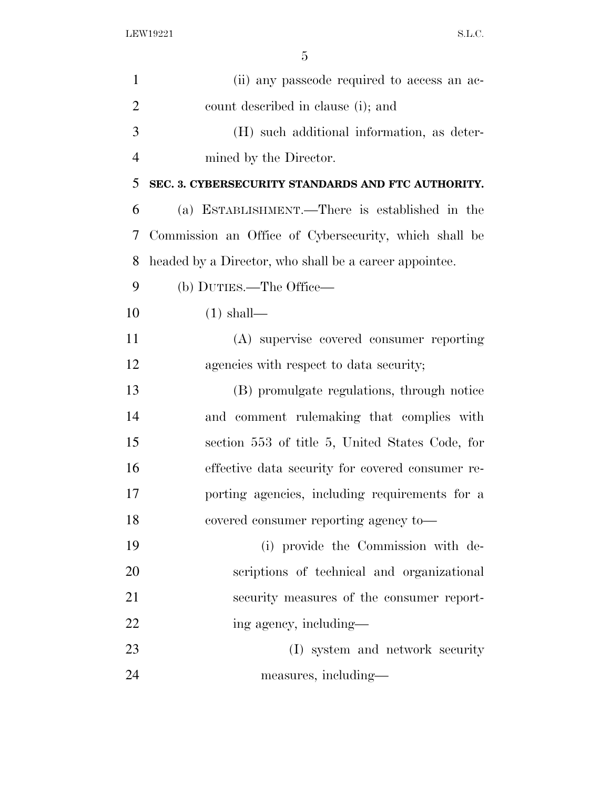| $\mathbf{1}$   | (ii) any passe ode required to access an ac-           |
|----------------|--------------------------------------------------------|
| $\overline{2}$ | count described in clause (i); and                     |
| 3              | (H) such additional information, as deter-             |
| $\overline{4}$ | mined by the Director.                                 |
| 5              | SEC. 3. CYBERSECURITY STANDARDS AND FTC AUTHORITY.     |
| 6              | (a) ESTABLISHMENT.—There is established in the         |
| 7              | Commission an Office of Cybersecurity, which shall be  |
| 8              | headed by a Director, who shall be a career appointee. |
| 9              | (b) DUTIES.—The Office—                                |
| 10             | $(1)$ shall—                                           |
| 11             | (A) supervise covered consumer reporting               |
| 12             | agencies with respect to data security;                |
| 13             | (B) promulgate regulations, through notice             |
| 14             | and comment rulemaking that complies with              |
| 15             | section 553 of title 5, United States Code, for        |
| 16             | effective data security for covered consumer re-       |
| 17             | porting agencies, including requirements for a         |
| 18             | covered consumer reporting agency to-                  |
| 19             | (i) provide the Commission with de-                    |
| 20             | scriptions of technical and organizational             |
| 21             | security measures of the consumer report-              |
| 22             | ing agency, including—                                 |
| 23             | (I) system and network security                        |
| 24             | measures, including—                                   |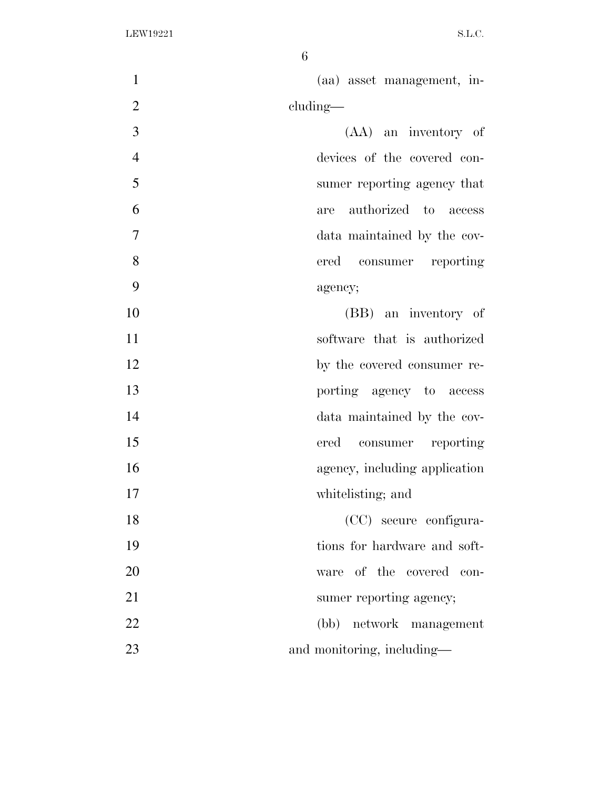| $\mathbf{1}$   | (aa) asset management, in-    |
|----------------|-------------------------------|
| $\overline{2}$ | cluding—                      |
| 3              | (AA) an inventory of          |
| $\overline{4}$ | devices of the covered con-   |
| 5              | sumer reporting agency that   |
| 6              | authorized to access<br>are   |
| $\overline{7}$ | data maintained by the cov-   |
| 8              | ered<br>consumer reporting    |
| 9              | agency;                       |
| 10             | (BB) an inventory of          |
| 11             | software that is authorized   |
| 12             | by the covered consumer re-   |
| 13             | porting agency to access      |
| 14             | data maintained by the cov-   |
| 15             | ered<br>consumer reporting    |
| 16             | agency, including application |
| 17             | whitelisting; and             |
| 18             | (CC) secure configura-        |
| 19             | tions for hardware and soft-  |
| 20             | ware of the covered con-      |
| 21             | sumer reporting agency;       |
| 22             | (bb) network management       |
| 23             | and monitoring, including—    |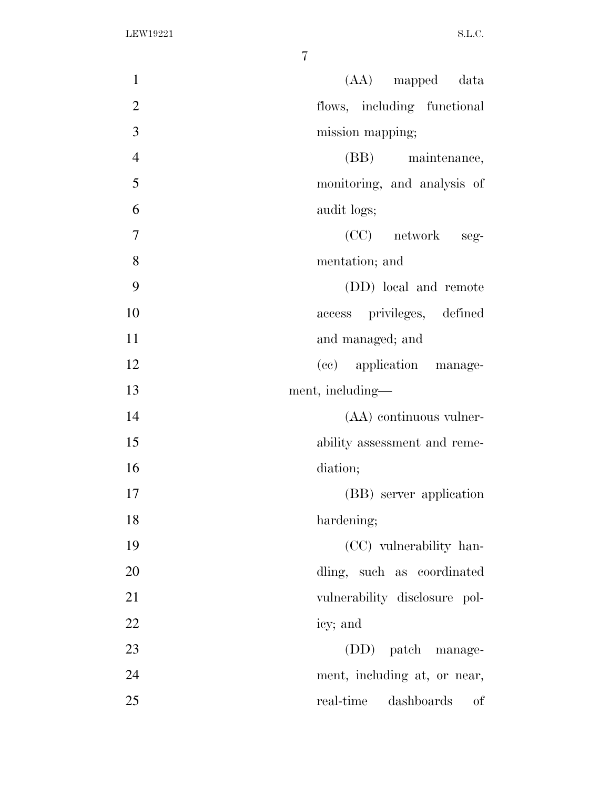| (AA) mapped data<br>$\mathbf{1}$              |
|-----------------------------------------------|
| $\overline{2}$<br>flows, including functional |
| 3<br>mission mapping;                         |
| $\overline{4}$<br>(BB) maintenance,           |
| 5<br>monitoring, and analysis of              |
| 6<br>audit logs;                              |
| $(CC)$ network seg-<br>7                      |
| 8<br>mentation; and                           |
| 9<br>(DD) local and remote                    |
| 10<br>access privileges, defined              |
| 11<br>and managed; and                        |
| 12<br>(cc) application manage-                |
| 13<br>ment, including—                        |
| 14<br>(AA) continuous vulner-                 |
| 15<br>ability assessment and reme-            |
| 16<br>diation;                                |
| 17<br>(BB) server application                 |
| 18<br>hardening;                              |
| 19<br>(CC) vulnerability han-                 |
| 20<br>dling, such as coordinated              |
| 21<br>vulnerability disclosure pol-           |
| 22<br>icy; and                                |
| 23<br>(DD) patch manage-                      |
| 24<br>ment, including at, or near,            |
| 25<br>dashboards<br>real-time<br>οf           |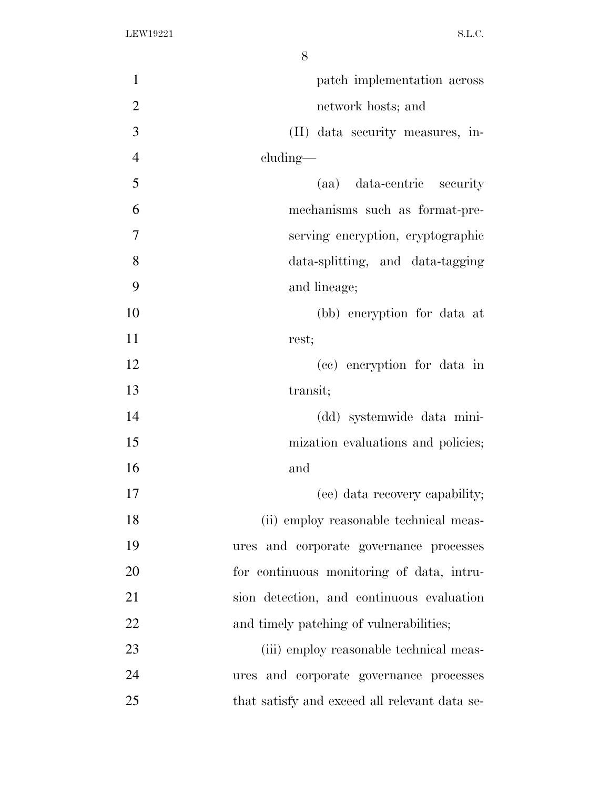| $\mathbf{1}$   | patch implementation across                   |
|----------------|-----------------------------------------------|
| $\overline{2}$ | network hosts; and                            |
| 3              | (II) data security measures, in-              |
| $\overline{4}$ | cluding—                                      |
| 5              | (aa) data-centric security                    |
| 6              | mechanisms such as format-pre-                |
| 7              | serving encryption, cryptographic             |
| 8              | data-splitting, and data-tagging              |
| 9              | and lineage;                                  |
| 10             | (bb) encryption for data at                   |
| 11             | rest;                                         |
| 12             | (cc) encryption for data in                   |
| 13             | transit;                                      |
| 14             | (dd) systemwide data mini-                    |
| 15             | mization evaluations and policies;            |
| 16             | and                                           |
| 17             | (ee) data recovery capability;                |
| 18             | (ii) employ reasonable technical meas-        |
| 19             | ures and corporate governance processes       |
| 20             | for continuous monitoring of data, intru-     |
| 21             | sion detection, and continuous evaluation     |
| 22             | and timely patching of vulnerabilities;       |
| 23             | (iii) employ reasonable technical meas-       |
| 24             | ures and corporate governance processes       |
| 25             | that satisfy and exceed all relevant data se- |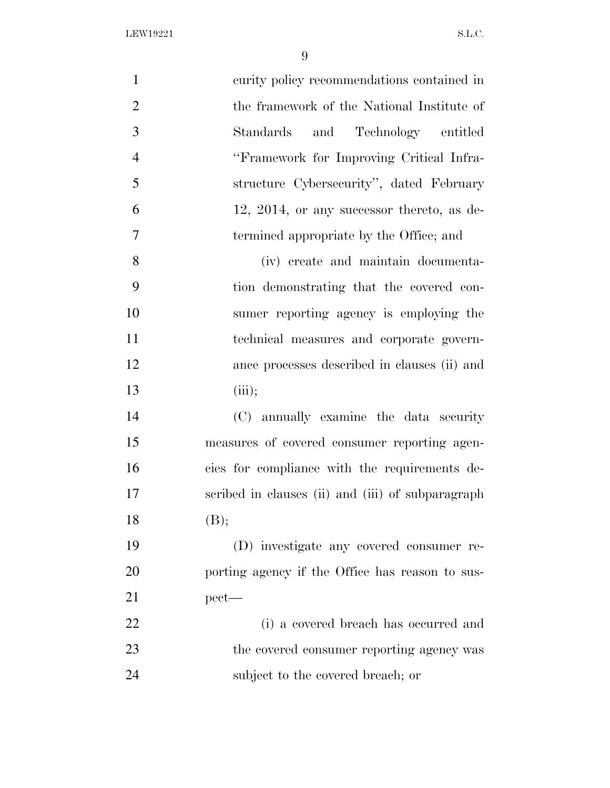| $\mathbf{1}$   | curity policy recommendations contained in        |
|----------------|---------------------------------------------------|
| $\mathbf{2}$   | the framework of the National Institute of        |
| 3              | and Technology entitled<br>Standards              |
| $\overline{4}$ | "Framework for Improving Critical Infra-          |
| 5              | structure Cybersecurity", dated February          |
| 6              | 12, 2014, or any successor thereto, as de-        |
| $\tau$         | termined appropriate by the Office; and           |
| 8              | (iv) create and maintain documenta-               |
| 9              | tion demonstrating that the covered con-          |
| 10             | sumer reporting agency is employing the           |
| 11             | technical measures and corporate govern-          |
| 12             | ance processes described in clauses (ii) and      |
| 13             | (iii);                                            |
| 14             | (C) annually examine the data security            |
| 15             | measures of covered consumer reporting agen-      |
| 16             | cies for compliance with the requirements de-     |
| 17             | scribed in clauses (ii) and (iii) of subparagraph |
| 18             | (B);                                              |
| 19             | (D) investigate any covered consumer re-          |
| 20             | porting agency if the Office has reason to sus-   |
| 21             | $pect$ —                                          |
| 22             | (i) a covered breach has occurred and             |
| 23             | the covered consumer reporting agency was         |
| 24             | subject to the covered breach; or                 |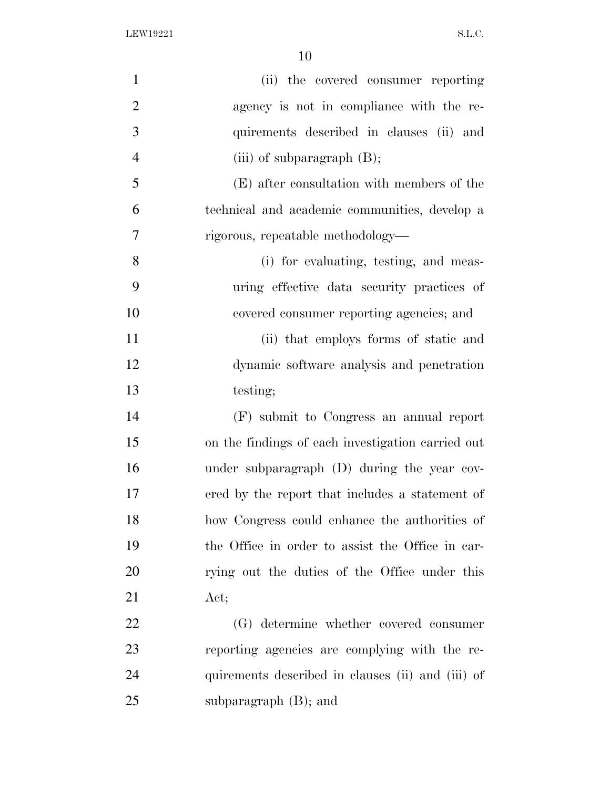| $\mathbf{1}$   | (ii) the covered consumer reporting               |
|----------------|---------------------------------------------------|
| $\overline{2}$ | agency is not in compliance with the re-          |
| 3              | quirements described in clauses (ii) and          |
| $\overline{4}$ | (iii) of subparagraph $(B)$ ;                     |
| 5              | (E) after consultation with members of the        |
| 6              | technical and academic communities, develop a     |
| 7              | rigorous, repeatable methodology—                 |
| 8              | (i) for evaluating, testing, and meas-            |
| 9              | uring effective data security practices of        |
| 10             | covered consumer reporting agencies; and          |
| 11             | (ii) that employs forms of static and             |
| 12             | dynamic software analysis and penetration         |
| 13             | testing;                                          |
| 14             | (F) submit to Congress an annual report           |
| 15             | on the findings of each investigation carried out |
| 16             | under subparagraph (D) during the year cov-       |
| 17             | ered by the report that includes a statement of   |
| 18             | how Congress could enhance the authorities of     |
| 19             | the Office in order to assist the Office in car-  |
| 20             | rying out the duties of the Office under this     |
| 21             | Act;                                              |
| 22             | (G) determine whether covered consumer            |
| 23             | reporting agencies are complying with the re-     |
| 24             | quirements described in clauses (ii) and (iii) of |
| 25             | subparagraph $(B)$ ; and                          |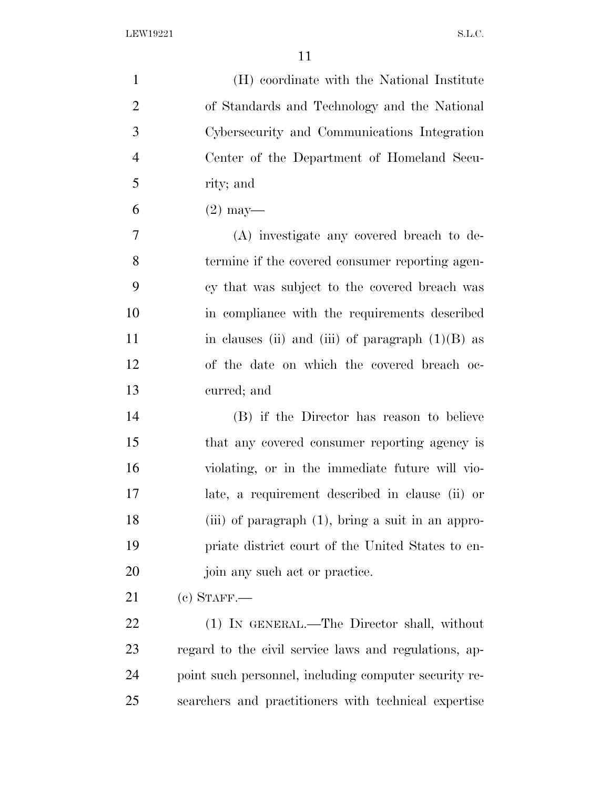| $\mathbf{1}$   | (H) coordinate with the National Institute            |
|----------------|-------------------------------------------------------|
| $\overline{2}$ | of Standards and Technology and the National          |
| 3              | Cybersecurity and Communications Integration          |
| $\overline{4}$ | Center of the Department of Homeland Secu-            |
| 5              | rity; and                                             |
| 6              | $(2)$ may—                                            |
| 7              | (A) investigate any covered breach to de-             |
| 8              | termine if the covered consumer reporting agen-       |
| 9              | cy that was subject to the covered breach was         |
| 10             | in compliance with the requirements described         |
| 11             | in clauses (ii) and (iii) of paragraph $(1)(B)$ as    |
| 12             | of the date on which the covered breach oc-           |
| 13             | curred; and                                           |
| 14             | (B) if the Director has reason to believe             |
| 15             | that any covered consumer reporting agency is         |
| 16             | violating, or in the immediate future will vio-       |
| 17             | late, a requirement described in clause (ii) or       |
| 18             | (iii) of paragraph $(1)$ , bring a suit in an appro-  |
| 19             | priate district court of the United States to en-     |
| 20             | join any such act or practice.                        |
| 21             | $(c)$ STAFF.—                                         |
| 22             | (1) IN GENERAL.—The Director shall, without           |
| 23             | regard to the civil service laws and regulations, ap- |
| 24             | point such personnel, including computer security re- |
| 25             | searchers and practitioners with technical expertise  |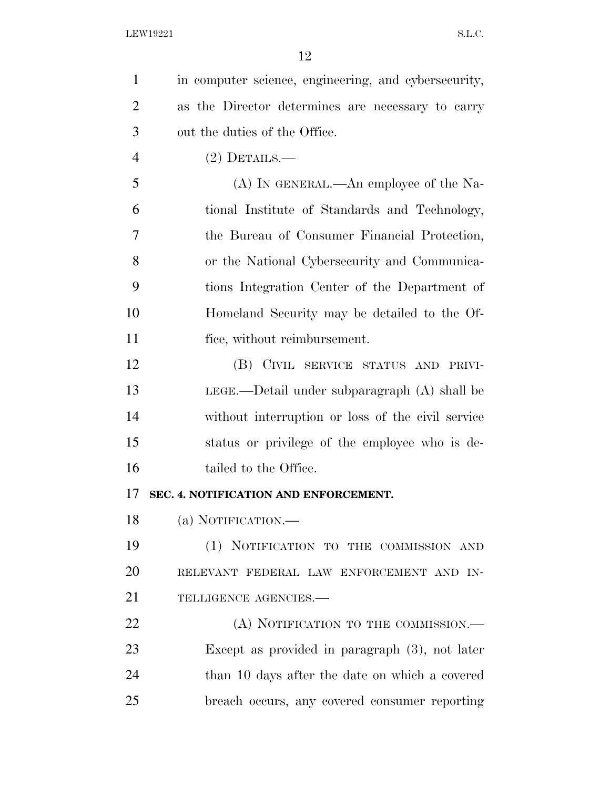| $\mathbf{1}$   | in computer science, engineering, and cybersecurity, |
|----------------|------------------------------------------------------|
| $\overline{2}$ | as the Director determines are necessary to carry    |
| 3              | out the duties of the Office.                        |
| $\overline{4}$ | $(2)$ DETAILS.—                                      |
| 5              | (A) IN GENERAL.—An employee of the Na-               |
| 6              | tional Institute of Standards and Technology,        |
| 7              | the Bureau of Consumer Financial Protection,         |
| 8              | or the National Cybersecurity and Communica-         |
| 9              | tions Integration Center of the Department of        |
| 10             | Homeland Security may be detailed to the Of-         |
| 11             | fice, without reimbursement.                         |
| 12             | (B) CIVIL SERVICE STATUS AND PRIVI-                  |
| 13             | $LEGE$ .—Detail under subparagraph $(A)$ shall be    |
| 14             | without interruption or loss of the civil service    |
| 15             | status or privilege of the employee who is de-       |
| 16             | tailed to the Office.                                |
| 17             | SEC. 4. NOTIFICATION AND ENFORCEMENT.                |
| 18             | (a) NOTIFICATION.—                                   |
| 19             | (1) NOTIFICATION TO THE COMMISSION AND               |
| 20             | RELEVANT FEDERAL LAW ENFORCEMENT AND IN-             |
| 21             | TELLIGENCE AGENCIES.-                                |
| 22             | (A) NOTIFICATION TO THE COMMISSION.—                 |
| 23             | Except as provided in paragraph $(3)$ , not later    |
| 24             | than 10 days after the date on which a covered       |
| 25             | breach occurs, any covered consumer reporting        |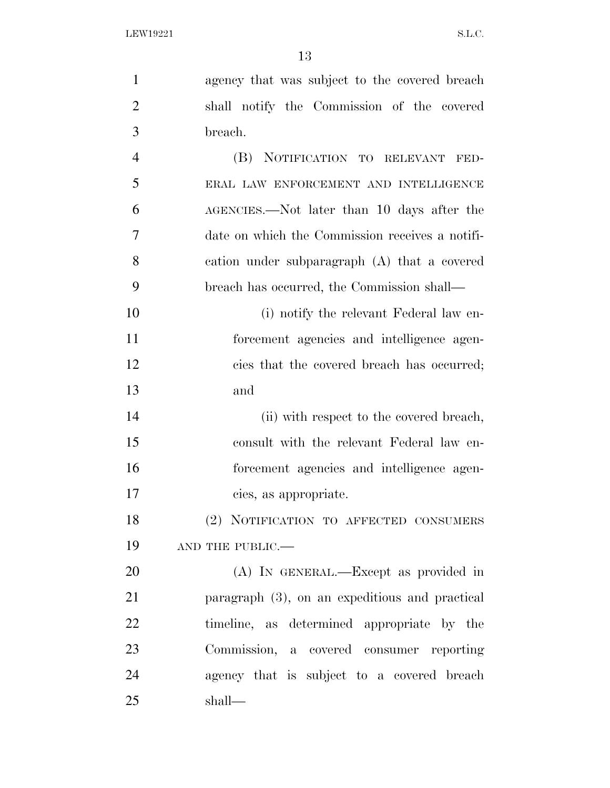| $\mathbf{1}$   | agency that was subject to the covered breach     |
|----------------|---------------------------------------------------|
| $\overline{2}$ | shall notify the Commission of the covered        |
| 3              | breach.                                           |
| $\overline{4}$ | (B) NOTIFICATION TO RELEVANT FED-                 |
| 5              | ERAL LAW ENFORCEMENT AND INTELLIGENCE             |
| 6              | AGENCIES.—Not later than 10 days after the        |
| 7              | date on which the Commission receives a notifi-   |
| 8              | cation under subparagraph (A) that a covered      |
| 9              | breach has occurred, the Commission shall—        |
| 10             | (i) notify the relevant Federal law en-           |
| 11             | forcement agencies and intelligence agen-         |
| 12             | cies that the covered breach has occurred;        |
| 13             | and                                               |
| 14             | (ii) with respect to the covered breach,          |
| 15             | consult with the relevant Federal law en-         |
| 16             | forcement agencies and intelligence agen-         |
| 17             | cies, as appropriate.                             |
| 18             | (2) NOTIFICATION TO AFFECTED CONSUMERS            |
| 19             | AND THE PUBLIC.-                                  |
| 20             | (A) In GENERAL.—Except as provided in             |
| 21             | paragraph $(3)$ , on an expeditious and practical |
| 22             | timeline, as determined appropriate by the        |
| 23             | Commission, a covered consumer reporting          |
| 24             | agency that is subject to a covered breach        |
| 25             | shall—                                            |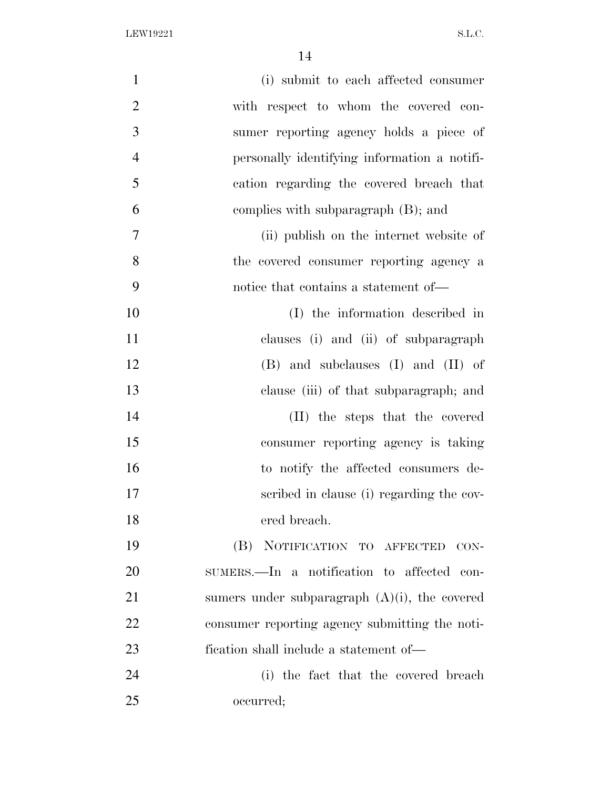| $\mathbf{1}$   | (i) submit to each affected consumer             |
|----------------|--------------------------------------------------|
| $\overline{2}$ | with respect to whom the covered con-            |
| 3              | sumer reporting agency holds a piece of          |
| $\overline{4}$ | personally identifying information a notifi-     |
| 5              | cation regarding the covered breach that         |
| 6              | complies with subparagraph (B); and              |
| $\overline{7}$ | (ii) publish on the internet website of          |
| 8              | the covered consumer reporting agency a          |
| 9              | notice that contains a statement of—             |
| 10             | (I) the information described in                 |
| 11             | clauses (i) and (ii) of subparagraph             |
| 12             | $(B)$ and subclauses $(I)$ and $(II)$ of         |
| 13             | clause (iii) of that subparagraph; and           |
| 14             | (II) the steps that the covered                  |
| 15             | consumer reporting agency is taking              |
| 16             | to notify the affected consumers de-             |
| 17             | scribed in clause (i) regarding the cov-         |
| 18             | ered breach.                                     |
| 19             | (B) NOTIFICATION TO AFFECTED CON-                |
| 20             | SUMERS.—In a notification to affected con-       |
| 21             | sumers under subparagraph $(A)(i)$ , the covered |
| 22             | consumer reporting agency submitting the noti-   |
| 23             | fication shall include a statement of—           |
| 24             | (i) the fact that the covered breach             |
| 25             | occurred;                                        |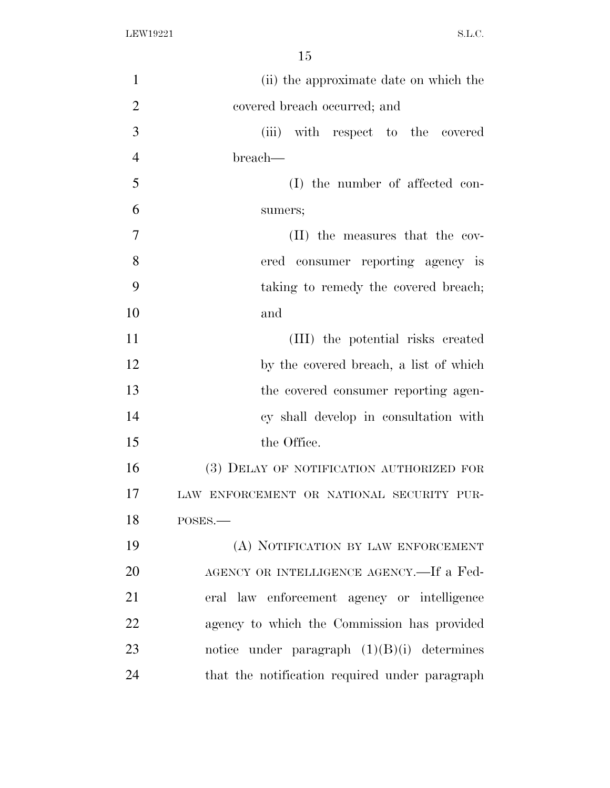| $\mathbf{1}$   | (ii) the approximate date on which the         |
|----------------|------------------------------------------------|
| $\overline{2}$ | covered breach occurred; and                   |
| 3              | (iii) with respect to the covered              |
| $\overline{4}$ | breach—                                        |
| 5              | (I) the number of affected con-                |
| 6              | sumers;                                        |
| 7              | (II) the measures that the cov-                |
| 8              | ered consumer reporting agency is              |
| 9              | taking to remedy the covered breach;           |
| 10             | and                                            |
| 11             | (III) the potential risks created              |
| 12             | by the covered breach, a list of which         |
| 13             | the covered consumer reporting agen-           |
| 14             | cy shall develop in consultation with          |
| 15             | the Office.                                    |
| 16             | (3) DELAY OF NOTIFICATION AUTHORIZED FOR       |
| 17             | LAW ENFORCEMENT OR NATIONAL SECURITY PUR-      |
| 18             | POSES.                                         |
| 19             | (A) NOTIFICATION BY LAW ENFORCEMENT            |
| 20             | AGENCY OR INTELLIGENCE AGENCY.—If a Fed-       |
| 21             | eral law enforcement agency or intelligence    |
| 22             | agency to which the Commission has provided    |
| 23             | notice under paragraph $(1)(B)(i)$ determines  |
| 24             | that the notification required under paragraph |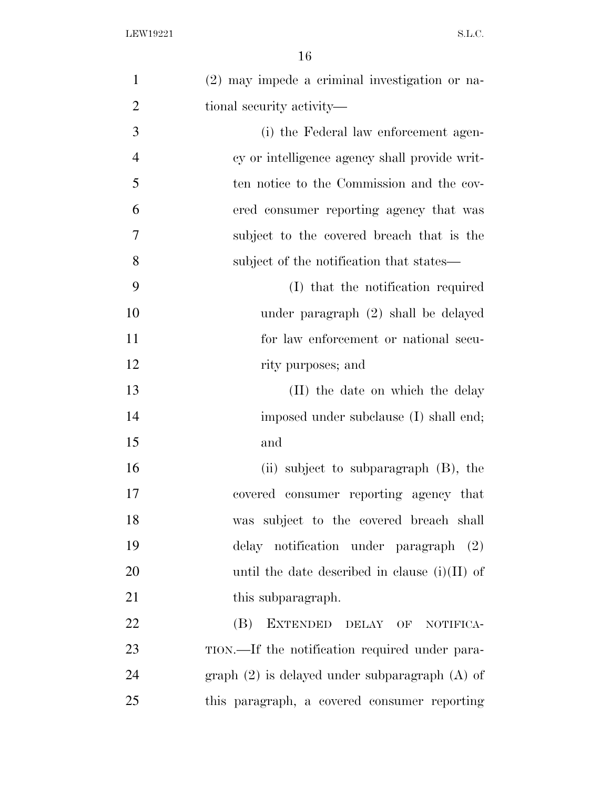| $\mathbf{1}$   | (2) may impede a criminal investigation or na-     |
|----------------|----------------------------------------------------|
| $\overline{2}$ | tional security activity—                          |
| 3              | (i) the Federal law enforcement agen-              |
| $\overline{4}$ | cy or intelligence agency shall provide writ-      |
| 5              | ten notice to the Commission and the cov-          |
| 6              | ered consumer reporting agency that was            |
| 7              | subject to the covered breach that is the          |
| 8              | subject of the notification that states—           |
| 9              | (I) that the notification required                 |
| 10             | under paragraph (2) shall be delayed               |
| 11             | for law enforcement or national secu-              |
| 12             | rity purposes; and                                 |
| 13             | (II) the date on which the delay                   |
| 14             | imposed under subclause (I) shall end;             |
| 15             | and                                                |
| 16             | (ii) subject to subparagraph $(B)$ , the           |
| 17             | covered consumer reporting agency that             |
| 18             | was subject to the covered breach shall            |
| 19             | delay notification under paragraph (2)             |
| 20             | until the date described in clause $(i)(II)$ of    |
| 21             | this subparagraph.                                 |
| 22             | (B)<br>EXTENDED DELAY OF NOTIFICA-                 |
| 23             | TION.—If the notification required under para-     |
| 24             | graph $(2)$ is delayed under subparagraph $(A)$ of |
| 25             | this paragraph, a covered consumer reporting       |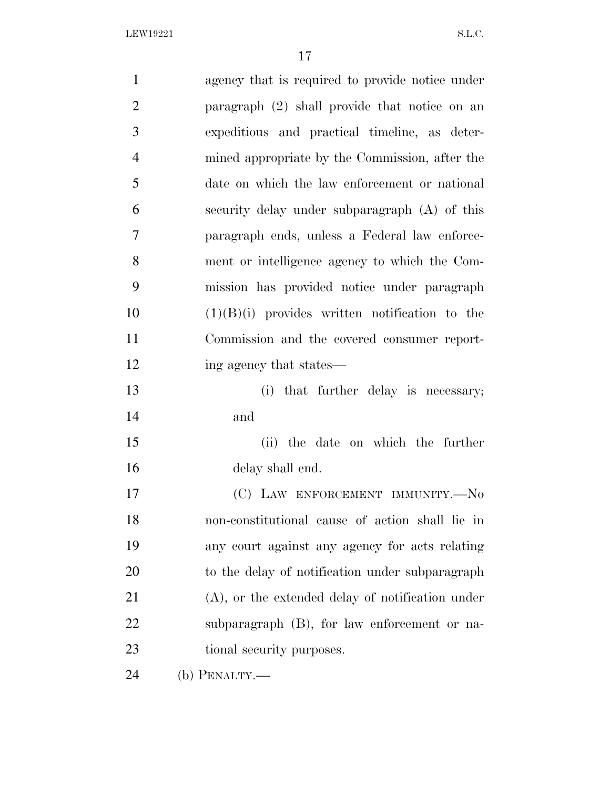| $\mathbf{1}$   | agency that is required to provide notice under     |
|----------------|-----------------------------------------------------|
| $\overline{2}$ | paragraph (2) shall provide that notice on an       |
| 3              | expeditious and practical timeline, as deter-       |
| $\overline{4}$ | mined appropriate by the Commission, after the      |
| 5              | date on which the law enforcement or national       |
| 6              | security delay under subparagraph (A) of this       |
| 7              | paragraph ends, unless a Federal law enforce-       |
| 8              | ment or intelligence agency to which the Com-       |
| 9              | mission has provided notice under paragraph         |
| 10             | $(1)(B)(i)$ provides written notification to the    |
| 11             | Commission and the covered consumer report-         |
| 12             | ing agency that states—                             |
| 13             | (i) that further delay is necessary;                |
| 14             | and                                                 |
| 15             | (ii) the date on which the further                  |
| 16             | delay shall end.                                    |
| 17             | (C) LAW ENFORCEMENT IMMUNITY.-No                    |
| 18             | non-constitutional cause of action shall lie in     |
| 19             | any court against any agency for acts relating      |
| 20             | to the delay of notification under subparagraph     |
| 21             | $(A)$ , or the extended delay of notification under |
| 22             | subparagraph (B), for law enforcement or na-        |
| 23             | tional security purposes.                           |
| 24             | (b) PENALTY.-                                       |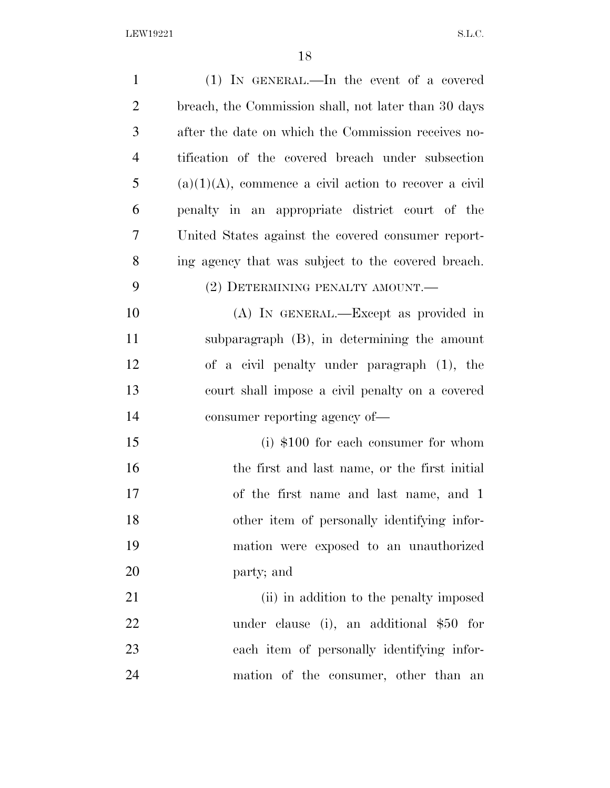| $\mathbf{1}$   | $(1)$ IN GENERAL.—In the event of a covered              |
|----------------|----------------------------------------------------------|
| $\overline{2}$ | breach, the Commission shall, not later than 30 days     |
| 3              | after the date on which the Commission receives no-      |
| $\overline{4}$ | tification of the covered breach under subsection        |
| 5              | $(a)(1)(A)$ , commence a civil action to recover a civil |
| 6              | penalty in an appropriate district court of the          |
| 7              | United States against the covered consumer report-       |
| 8              | ing agency that was subject to the covered breach.       |
| 9              | (2) DETERMINING PENALTY AMOUNT.—                         |
| 10             | (A) IN GENERAL.—Except as provided in                    |
| 11             | subparagraph (B), in determining the amount              |
| 12             | of a civil penalty under paragraph (1), the              |
| 13             | court shall impose a civil penalty on a covered          |
| 14             | consumer reporting agency of—                            |
| 15             | $(i)$ \$100 for each consumer for whom                   |
| 16             | the first and last name, or the first initial            |
| 17             | of the first name and last name, and 1                   |
| 18             | other item of personally identifying infor-              |
| 19             | mation were exposed to an unauthorized                   |
| 20             | party; and                                               |
| 21             | (ii) in addition to the penalty imposed                  |
| 22             | under clause (i), an additional $$50$ for                |
| 23             | each item of personally identifying infor-               |
| 24             | mation of the consumer, other than an                    |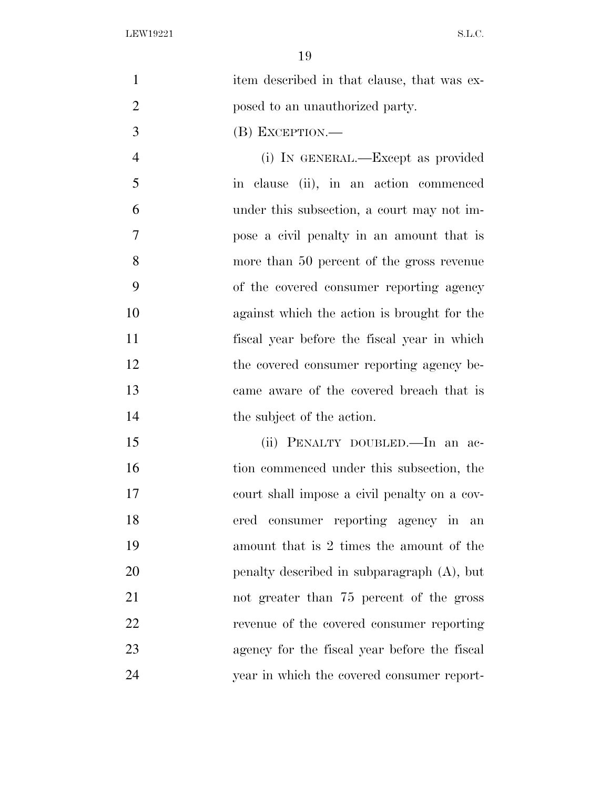1 item described in that clause, that was ex-**posed to an unauthorized party.** 

(B) EXCEPTION.—

 (i) IN GENERAL.—Except as provided in clause (ii), in an action commenced under this subsection, a court may not im- pose a civil penalty in an amount that is more than 50 percent of the gross revenue of the covered consumer reporting agency against which the action is brought for the fiscal year before the fiscal year in which 12 the covered consumer reporting agency be- came aware of the covered breach that is 14 the subject of the action.

 (ii) PENALTY DOUBLED.—In an ac-16 tion commenced under this subsection, the court shall impose a civil penalty on a cov- ered consumer reporting agency in an amount that is 2 times the amount of the penalty described in subparagraph (A), but not greater than 75 percent of the gross revenue of the covered consumer reporting agency for the fiscal year before the fiscal year in which the covered consumer report-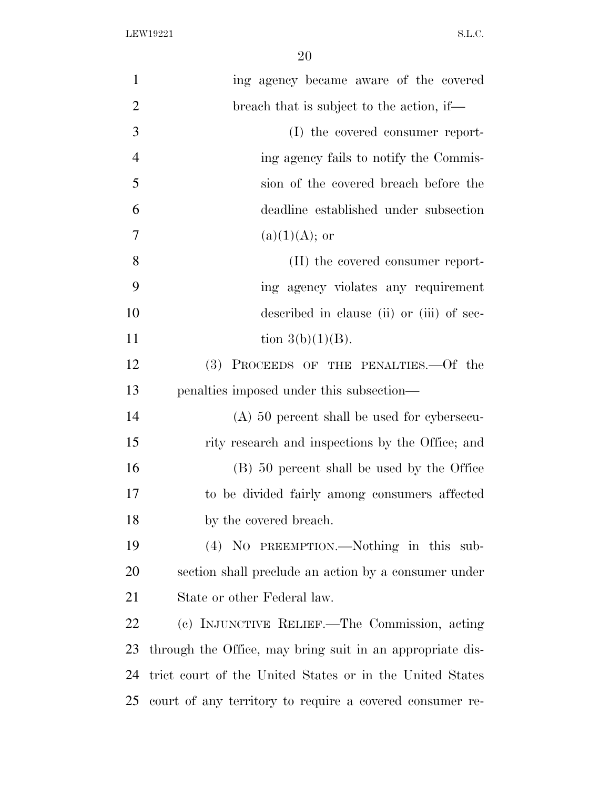| $\mathbf{1}$   | ing agency became aware of the covered                    |
|----------------|-----------------------------------------------------------|
| $\overline{2}$ | breach that is subject to the action, if—                 |
| 3              | (I) the covered consumer report-                          |
| $\overline{4}$ | ing agency fails to notify the Commis-                    |
| 5              | sion of the covered breach before the                     |
| 6              | deadline established under subsection                     |
| $\overline{7}$ | $(a)(1)(A);$ or                                           |
| 8              | (II) the covered consumer report-                         |
| 9              | ing agency violates any requirement                       |
| 10             | described in clause (ii) or (iii) of sec-                 |
| 11             | tion $3(b)(1)(B)$ .                                       |
| 12             | PROCEEDS OF THE PENALTIES. Of the<br>(3)                  |
| 13             | penalties imposed under this subsection—                  |
| 14             | $(A)$ 50 percent shall be used for cybersecu-             |
| 15             | rity research and inspections by the Office; and          |
| 16             | (B) 50 percent shall be used by the Office                |
| 17             | to be divided fairly among consumers affected             |
| 18             | by the covered breach.                                    |
| 19             | (4) NO PREEMPTION.—Nothing in this sub-                   |
| 20             | section shall preclude an action by a consumer under      |
| 21             | State or other Federal law.                               |
| 22             | (c) INJUNCTIVE RELIEF.—The Commission, acting             |
| 23             | through the Office, may bring suit in an appropriate dis- |
| 24             | trict court of the United States or in the United States  |
| 25             | court of any territory to require a covered consumer re-  |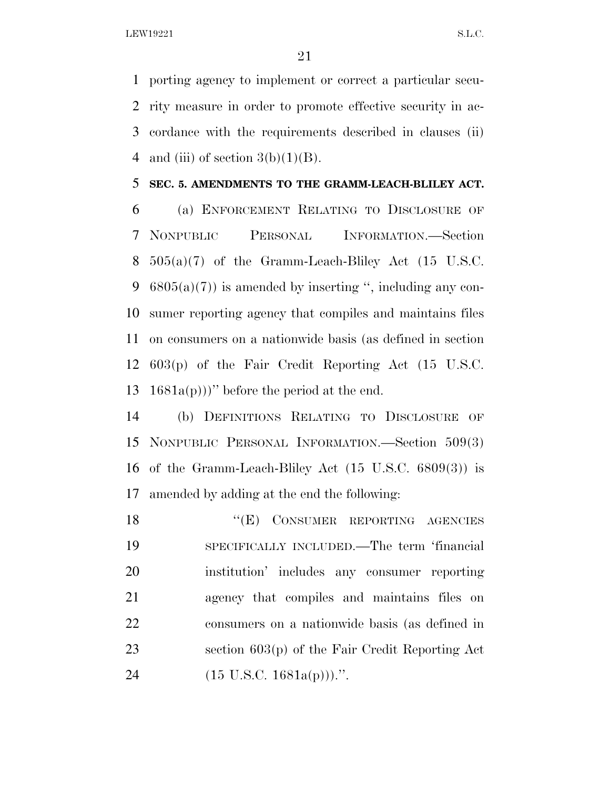porting agency to implement or correct a particular secu- rity measure in order to promote effective security in ac- cordance with the requirements described in clauses (ii) 4 and (iii) of section  $3(b)(1)(B)$ .

#### **SEC. 5. AMENDMENTS TO THE GRAMM-LEACH-BLILEY ACT.**

 (a) ENFORCEMENT RELATING TO DISCLOSURE OF NONPUBLIC PERSONAL INFORMATION.—Section  $505(a)(7)$  of the Gramm-Leach-Bliley Act  $(15 \text{ U.S.C.})$  $6805(a)(7)$  is amended by inserting ", including any con- sumer reporting agency that compiles and maintains files on consumers on a nationwide basis (as defined in section 603(p) of the Fair Credit Reporting Act (15 U.S.C. 13 1681a(p)))" before the period at the end.

 (b) DEFINITIONS RELATING TO DISCLOSURE OF NONPUBLIC PERSONAL INFORMATION.—Section 509(3) of the Gramm-Leach-Bliley Act (15 U.S.C. 6809(3)) is amended by adding at the end the following:

18 "(E) CONSUMER REPORTING AGENCIES SPECIFICALLY INCLUDED.—The term 'financial institution' includes any consumer reporting agency that compiles and maintains files on consumers on a nationwide basis (as defined in section 603(p) of the Fair Credit Reporting Act  $(15 \text{ U.S.C. } 1681a(p)))$ .".